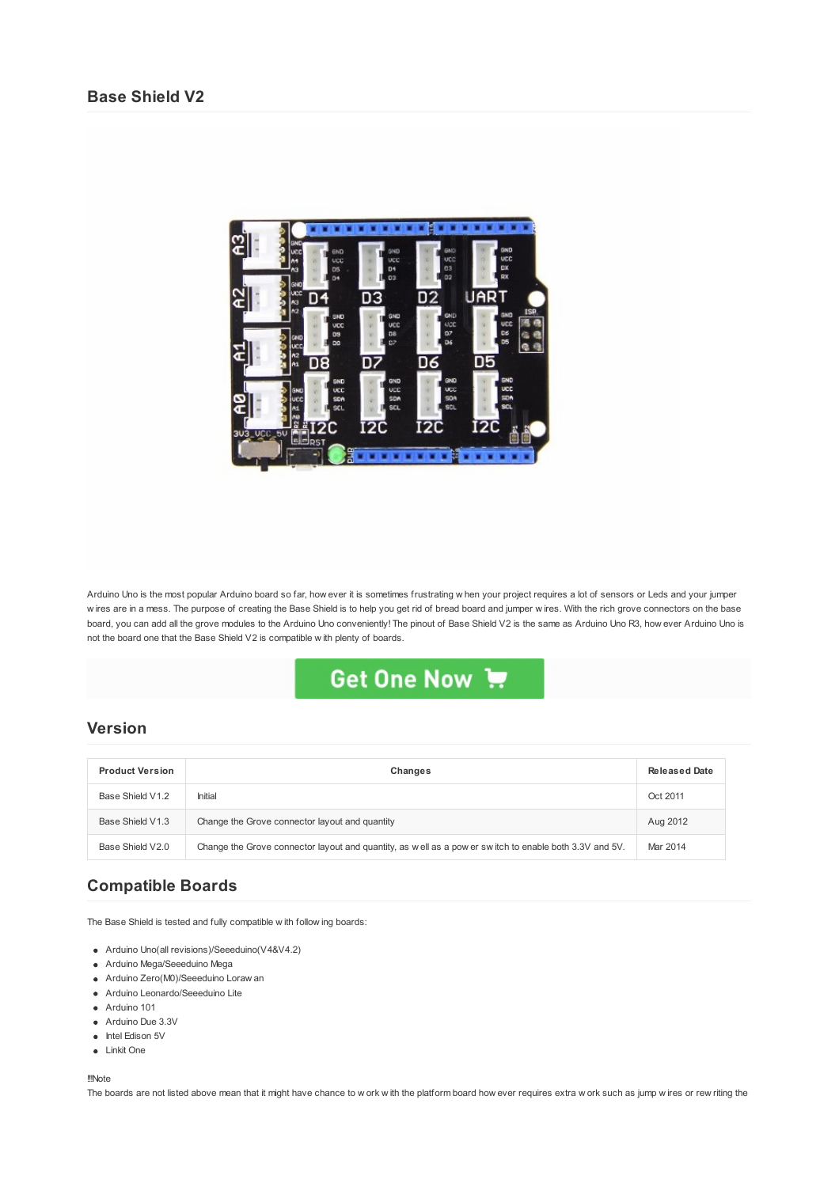

Arduino Uno is the most popular Arduino board so far, how ever it is sometimes frustrating w hen your project requires a lot of sensors or Leds and your jumper w ires are in a mess. The purpose of creating the Base Shield is to help you get rid of bread board and jumper w ires. With the rich grove connectors on the base board, you can add all the grove modules to the Arduino Uno conveniently! The pinout of Base Shield V2 is the same as Arduino Uno R3, how ever Arduino Uno is not the board one that the Base Shield V2 is compatible w ith plenty of boards.



## **Version**

| <b>Product Version</b> | Changes                                                                                               | <b>Released Date</b> |
|------------------------|-------------------------------------------------------------------------------------------------------|----------------------|
| Base Shield V1.2       | Initial                                                                                               | Oct 2011             |
| Base Shield V1.3       | Change the Grove connector layout and quantity                                                        | Aug 2012             |
| Base Shield V2.0       | Change the Grove connector layout and quantity, as well as a power switch to enable both 3.3V and 5V. | Mar 2014             |

# **Compatible Boards**

The Base Shield is tested and fully compatible w ith follow ing boards:

- Arduino Uno(all revisions)/Seeeduino(V4&V4.2)
- Arduino Mega/Seeeduino Mega
- Arduino Zero(M0)/Seeeduino Loraw an
- Arduino Leonardo/Seeeduino Lite
- **Arduino 101**
- Arduino Due 3.3V
- Intel Edison 5V
- Linkit One

!!!Note

The boards are not listed above mean that it might have chance to w ork with the platform board how ever requires extra w ork such as jump w ires or rew riting the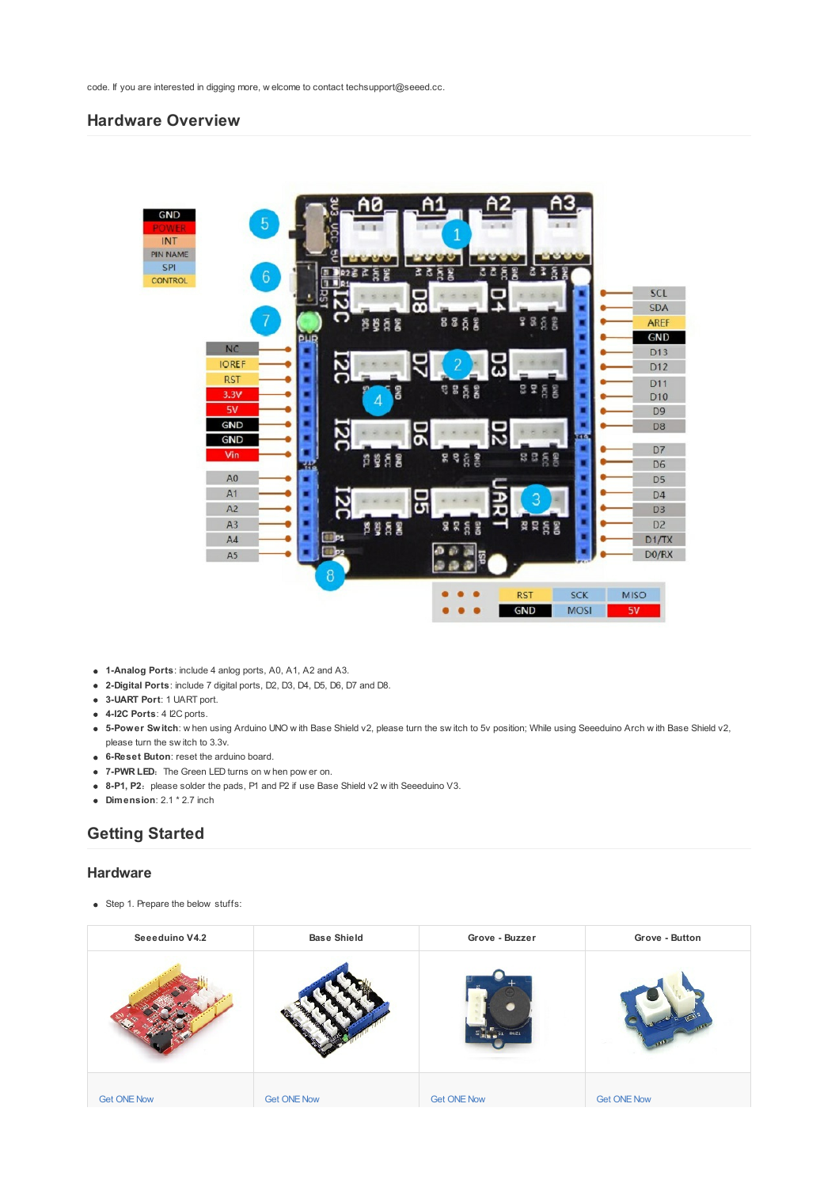code. If you are interested in digging more, w elcome to contact techsupport@seeed.cc.

## **Hardware Overview**



- **1-Analog Ports**: include 4 anlog ports, A0, A1, A2 and A3.
- **2-Digital Ports**: include 7 digital ports, D2, D3, D4, D5, D6, D7 and D8.
- **3-UART Port**: 1 UART port.
- **4-I2C Ports**: 4 I2C ports.
- **5-Power Switch**: w hen using Arduino UNO w ith Base Shield v2, please turn the sw itch to 5v position; While using Seeeduino Arch w ith Base Shield v2, please turn the sw itch to 3.3v.
- **6-Reset Buton**: reset the arduino board.
- **7-PWR LED:** The Green LED turns on w hen pow er on.
- **8-P1, P2:** please solder the pads, P1 and P2 if use Base Shield v2 w ith Seeeduino V3.
- **Dimension**: 2.1 \* 2.7 inch
- **Getting Started**

#### **Hardware**

• Step 1. Prepare the below stuffs:

| Seeeduino V4.2     | <b>Base Shield</b> | Grove - Buzzer     | Grove - Button     |
|--------------------|--------------------|--------------------|--------------------|
|                    |                    | BUZ1               |                    |
| <b>Get ONE Now</b> | <b>Get ONE Now</b> | <b>Get ONE Now</b> | <b>Get ONE Now</b> |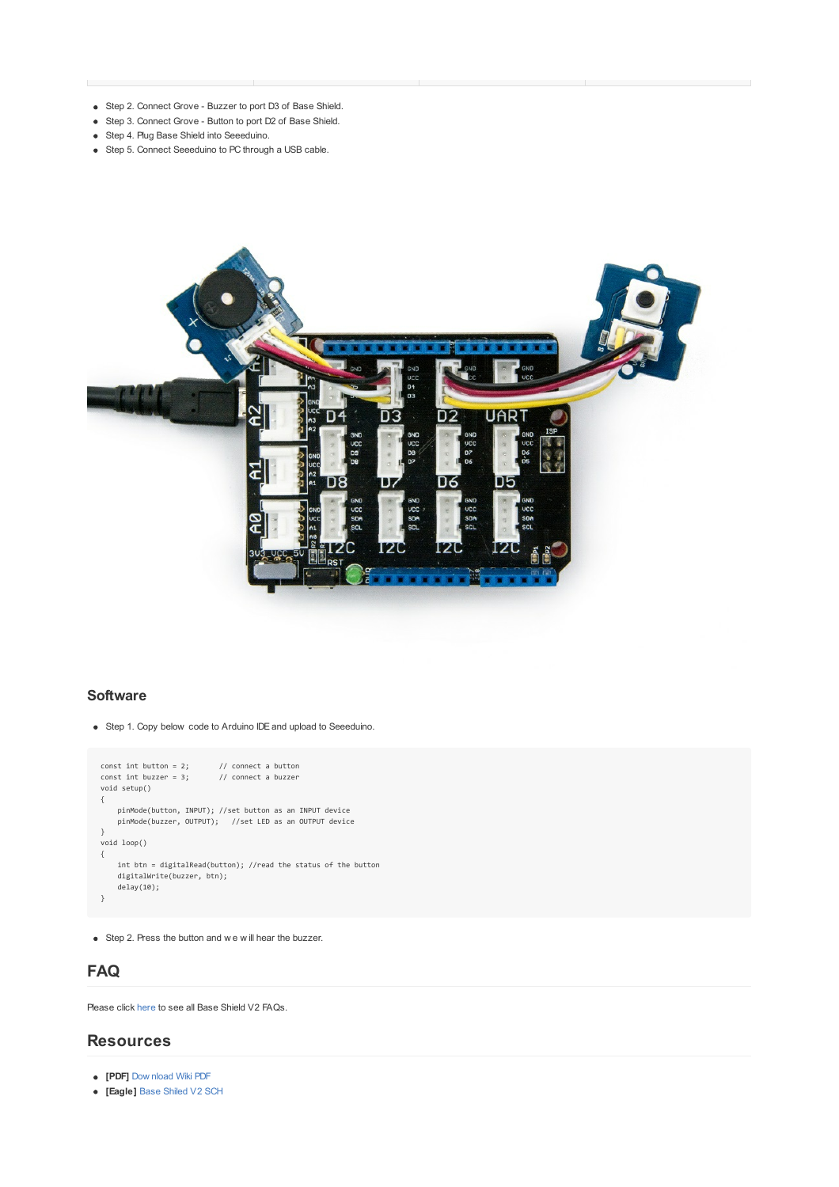- Step 2. Connect Grove Buzzer to port D3 of Base Shield.
- Step 3. Connect Grove Button to port D2 of Base Shield.
- Step 4. Plug Base Shield into Seeeduino.
- Step 5. Connect Seeeduino to PC through a USB cable.



#### **Software**

Step 1. Copy below code to Arduino IDEand upload to Seeeduino.

```
const int button = 2; // connect a button
const int buzzer = 3; // connect a buzzer
void setup()
{
       pinMode(button, INPUT); //set button as an INPUT device
pinMode(buzzer, OUTPUT); //set LED as an OUTPUT device
}
void loop()
\{int btn = digitalRead(button); //read the status of the button
digitalWrite(buzzer, btn);
      delay(10);
}
```
Step 2. Press the button and w e w ill hear the buzzer.

## **FAQ**

Please click [here](http://support.seeedstudio.com/knowledgebase/articles/1826443-base-shield-v2-sku-103030000) to see all Base Shield V2 FAQs.

### **Resources**

- **[PDF]** Dow [nload](https://github.com/SeeedDocument/Base_Shield_V2/raw/master/res/Base_Shield_V2_WiKi.pdf) Wiki PDF
- **[Eagle]** Base [Shiled](https://github.com/SeeedDocument/Base_Shield_V2/raw/master/res/Base%20Shield%20v2_SCH.zip) V2 SCH